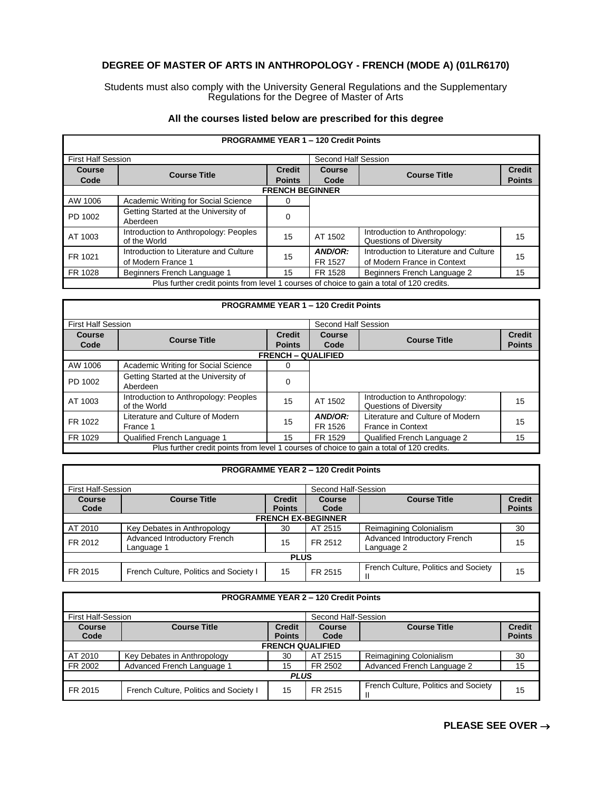# **DEGREE OF MASTER OF ARTS IN ANTHROPOLOGY - FRENCH (MODE A) (01LR6170)**

Students must also comply with the University General Regulations and the Supplementary Regulations for the Degree of Master of Arts

## **All the courses listed below are prescribed for this degree**

| <b>PROGRAMME YEAR 1 - 120 Credit Points</b> |                                                                                           |                     |                    |                                                                       |               |  |  |
|---------------------------------------------|-------------------------------------------------------------------------------------------|---------------------|--------------------|-----------------------------------------------------------------------|---------------|--|--|
| <b>First Half Session</b>                   |                                                                                           | Second Half Session |                    |                                                                       |               |  |  |
| <b>Course</b>                               | <b>Course Title</b>                                                                       | <b>Credit</b>       | Course             | <b>Course Title</b>                                                   | <b>Credit</b> |  |  |
| Code                                        |                                                                                           | <b>Points</b>       | Code               |                                                                       | <b>Points</b> |  |  |
|                                             | <b>FRENCH BEGINNER</b>                                                                    |                     |                    |                                                                       |               |  |  |
| AW 1006                                     | Academic Writing for Social Science                                                       | 0                   |                    |                                                                       |               |  |  |
| PD 1002                                     | Getting Started at the University of<br>Aberdeen                                          | 0                   |                    |                                                                       |               |  |  |
| AT 1003                                     | Introduction to Anthropology: Peoples<br>of the World                                     | 15                  | AT 1502            | Introduction to Anthropology:<br>Questions of Diversity               | 15            |  |  |
| FR 1021                                     | Introduction to Literature and Culture<br>of Modern France 1                              | 15                  | AND/OR:<br>FR 1527 | Introduction to Literature and Culture<br>of Modern France in Context | 15            |  |  |
| FR 1028                                     | Beginners French Language 1                                                               | 15                  | FR 1528            | Beginners French Language 2                                           | 15            |  |  |
|                                             | Plus further credit points from level 1 courses of choice to gain a total of 120 credits. |                     |                    |                                                                       |               |  |  |

### **PROGRAMME YEAR 1 – 120 Credit Points**

| <b>First Half Session</b> |                                                       |                                                                                           | Second Half Session |                                                              |                                |  |  |
|---------------------------|-------------------------------------------------------|-------------------------------------------------------------------------------------------|---------------------|--------------------------------------------------------------|--------------------------------|--|--|
| <b>Course</b><br>Code     | <b>Course Title</b>                                   | <b>Credit</b><br><b>Points</b>                                                            | Course<br>Code      | <b>Course Title</b>                                          | <b>Credit</b><br><b>Points</b> |  |  |
|                           | <b>FRENCH - QUALIFIED</b>                             |                                                                                           |                     |                                                              |                                |  |  |
| AW 1006                   | Academic Writing for Social Science                   | 0                                                                                         |                     |                                                              |                                |  |  |
| PD 1002                   | Getting Started at the University of<br>Aberdeen      | 0                                                                                         |                     |                                                              |                                |  |  |
| AT 1003                   | Introduction to Anthropology: Peoples<br>of the World | 15                                                                                        | AT 1502             | Introduction to Anthropology:<br>Questions of Diversity      | 15                             |  |  |
| FR 1022                   | Literature and Culture of Modern<br>France 1          | 15                                                                                        | AND/OR:<br>FR 1526  | Literature and Culture of Modern<br><b>France in Context</b> | 15                             |  |  |
| FR 1029                   | Qualified French Language 1                           | 15                                                                                        | FR 1529             | Qualified French Language 2                                  | 15                             |  |  |
|                           |                                                       | Plus further credit points from level 1 courses of choice to gain a total of 120 credits. |                     |                                                              |                                |  |  |

|                           |                                            |                                | <b>PROGRAMME YEAR 2 - 120 Credit Points</b> |                                            |                                |
|---------------------------|--------------------------------------------|--------------------------------|---------------------------------------------|--------------------------------------------|--------------------------------|
| <b>First Half-Session</b> |                                            |                                | Second Half-Session                         |                                            |                                |
| <b>Course</b><br>Code     | <b>Course Title</b>                        | <b>Credit</b><br><b>Points</b> | Course<br>Code                              | <b>Course Title</b>                        | <b>Credit</b><br><b>Points</b> |
|                           |                                            |                                | <b>FRENCH EX-BEGINNER</b>                   |                                            |                                |
| AT 2010                   | Key Debates in Anthropology                | 30                             | AT 2515                                     | Reimagining Colonialism                    | 30                             |
| FR 2012                   | Advanced Introductory French<br>Language 1 | 15                             | FR 2512                                     | Advanced Introductory French<br>Language 2 | 15                             |
|                           |                                            | <b>PLUS</b>                    |                                             |                                            |                                |
| FR 2015                   | French Culture, Politics and Society I     | 15                             | FR 2515                                     | French Culture, Politics and Society       | 15                             |

|               |                                                                              |               | <b>PROGRAMME YEAR 2 - 120 Credit Points</b> |                                      |               |  |
|---------------|------------------------------------------------------------------------------|---------------|---------------------------------------------|--------------------------------------|---------------|--|
|               | <b>First Half-Session</b><br>Second Half-Session                             |               |                                             |                                      |               |  |
| <b>Course</b> | <b>Course Title</b><br><b>Credit</b><br><b>Course Title</b><br><b>Course</b> |               |                                             |                                      | <b>Credit</b> |  |
| Code          |                                                                              | <b>Points</b> | Code                                        |                                      | <b>Points</b> |  |
|               | <b>FRENCH QUALIFIED</b>                                                      |               |                                             |                                      |               |  |
| AT 2010       | Key Debates in Anthropology                                                  | 30            | AT 2515                                     | Reimagining Colonialism              | 30            |  |
| FR 2002       | Advanced French Language 1                                                   | 15            | FR 2502                                     | Advanced French Language 2           | 15            |  |
| <b>PLUS</b>   |                                                                              |               |                                             |                                      |               |  |
| FR 2015       | French Culture, Politics and Society I                                       | 15            | FR 2515                                     | French Culture, Politics and Society | 15            |  |

## **PLEASE SEE OVER** →